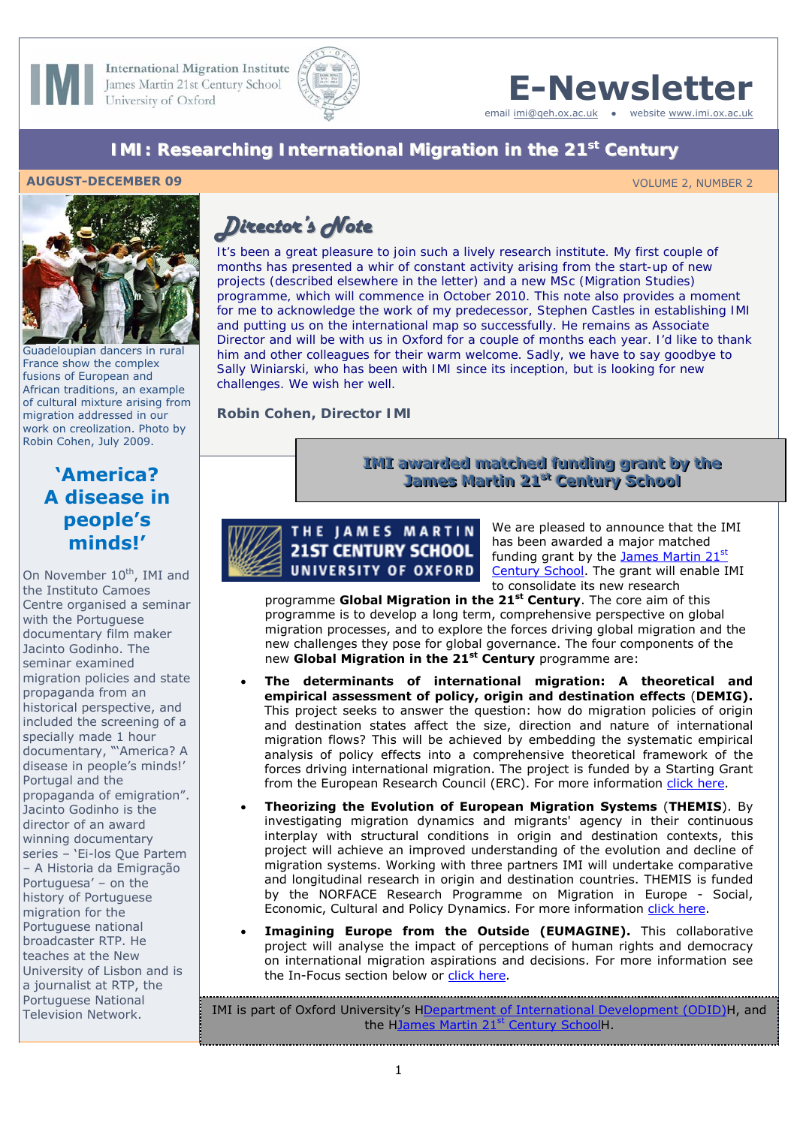

**International Migration Institute** James Martin 21st Century School University of Oxford



# **E-Newsletter**

email [imi@qeh.ox.ac.uk](mailto:imi@qeh.ox.ac.uk) • website [www.imi.ox.ac.uk](http://www.imi.ox.ac.uk/)

### *IMI: Researching International Migration in the 21<sup>st</sup> Century*

#### **AUGUST-DECEMBER 09** VOLUME 2, NUMBER 2



Guadeloupian dancers in rural France show the complex fusions of European and African traditions, an example of cultural mixture arising from migration addressed in our work on creolization. Photo by Robin Cohen, July 2009.

# **'America? A disease in people's minds!'**

On November 10<sup>th</sup>, IMI and the Instituto Camoes Centre organised a seminar with the Portuguese documentary film maker Jacinto Godinho. The seminar examined migration policies and state propaganda from an historical perspective, and included the screening of a specially made 1 hour documentary, "'America? A disease in people's minds!' Portugal and the propaganda of emigration". Jacinto Godinho is the director of an award winning documentary series – 'Ei-los Que Partem – A Historia da Emigração Portuguesa' – on the history of Portuguese migration for the Portuguese national broadcaster RTP. He teaches at the New University of Lisbon and is a journalist at RTP, the Portuguese National Television Network.

# *Director's Note*

*It's been a great pleasure to join such a lively research institute. My first couple of months has presented a whir of constant activity arising from the start-up of new projects (described elsewhere in the letter) and a new MSc (Migration Studies) programme, which will commence in October 2010. This note also provides a moment for me to acknowledge the work of my predecessor, Stephen Castles in establishing IMI and putting us on the international map so successfully. He remains as Associate Director and will be with us in Oxford for a couple of months each year. I'd like to thank him and other colleagues for their warm welcome. Sadly, we have to say goodbye to Sally Winiarski, who has been with IMI since its inception, but is looking for new challenges. We wish her well.* 

*Robin Cohen, Director IMI* 

**IMI awarded matched funding grant by the** James Martin 21<sup>st</sup> Century School



We are pleased to announce that the IMI has been awarded a major matched fundin[g grant by the James Martin 21st](http://www.21school.ox.ac.uk/) [Century School](http://www.21school.ox.ac.uk/). The grant will enable IMI to consolidate its new research

programme **Global Migration in the 21st Century**. The core aim of this programme is to develop a long term, comprehensive perspective on global migration processes, and to explore the forces driving global migration and the new challenges they pose for global governance. The four components of the new **Global Migration in the 21st Cen tury** programme are:

- **The determinants of international migration: A theoretical and empirical assessment of policy, origin and destination effects** (**DEMIG).**  This project seeks to answer the question: how do migration policies of origin and destination states affect the size, direction and nature of international migration flows? This will be achieved by embedding the systematic empirical analysis of policy effects into a comprehensive theoretical framework of the forces driving international migration. The project is funded by a Starting Grant from the European Research Council (ERC). For more information [click here](http://www.imi.ox.ac.uk/research/demig-the-determinants-of-international-migration).
- **Theorizing the Evolution of European Migration Systems** (**THEMIS**). By investigating migration dynamics and migrants' agency in their continuous interplay with structural conditions in origin and destination contexts, this project will achieve an improved understanding of the evolution and decline of migration systems. Working with three partners IMI will undertake comparative and longitudinal research in origin and destination countries. THEMIS is funded by the NORFACE Research Programme on Migration in Europe - Social, Economic, Cultural and Policy Dynamics. For more information [click here](http://www.imi.ox.ac.uk/research/theorizing-the-evolution-of-european-migration-systems-themis).
- **Imagining Europe from the Outside (EUMAGINE).** This collaborative project will analyse the impact of perceptions of human rights and democracy on international migration aspirations and decisions. For more information see the In-Focus section below or [click here.](http://www.imi.ox.ac.uk/research/eumagine-imagining-europe-from-the-outside)

IMI is part of Oxford University's HDepartment of International Development (ODID)H, and the HJames Martin 21<sup>st</sup> Century SchoolH.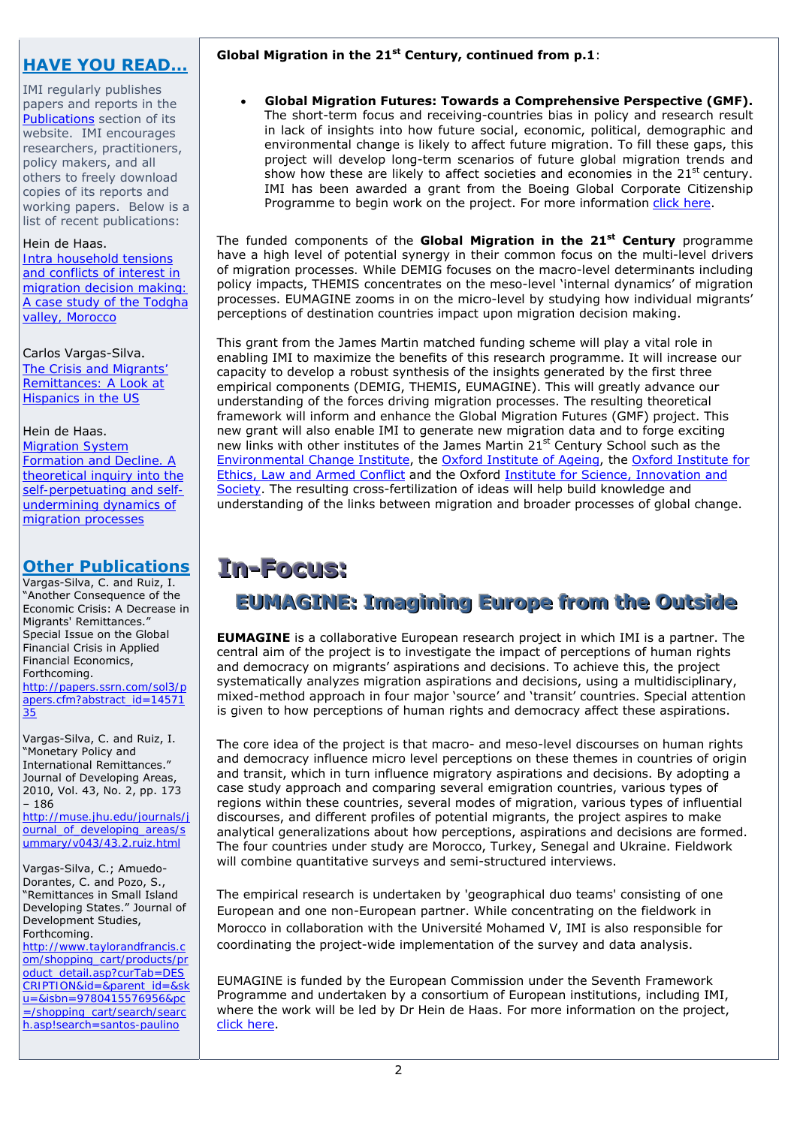### **HAVE YOU READ…**

IMI regularly publishes papers and reports in the [Publications](http://www.imi.ox.ac.uk/publications) section of its website. IMI encourages researchers, practitioners, policy makers, and all others to freely download copies of its reports and working papers. Below is a list of recent publications:

#### Hein de Haas.

*[Intra household tensions](http://www.imi.ox.ac.uk/pdfs/wp-17-hdh-intra-household-tensions)  [and conflicts of interest in](http://www.imi.ox.ac.uk/pdfs/wp-17-hdh-intra-household-tensions)  [migration decision making:](http://www.imi.ox.ac.uk/pdfs/wp-17-hdh-intra-household-tensions)  [A case study of the Todgha](http://www.imi.ox.ac.uk/pdfs/wp-17-hdh-intra-household-tensions)  [valley, Morocco](http://www.imi.ox.ac.uk/pdfs/wp-17-hdh-intra-household-tensions)*

Carlos Vargas-Silva. *[The Crisis and Migrants'](http://www.imi.ox.ac.uk/pdfs/working-paper-18-crisis-and-remittances)  [Remittances: A Look at](http://www.imi.ox.ac.uk/pdfs/working-paper-18-crisis-and-remittances)  [Hispanics in the US](http://www.imi.ox.ac.uk/pdfs/working-paper-18-crisis-and-remittances)*

#### Hein de Haas.

*[Migration System](http://www.imi.ox.ac.uk/pdfs/wp19-2009-de-haas-migration-systems-formation-and-decline)  [Formation and Decline. A](http://www.imi.ox.ac.uk/pdfs/wp19-2009-de-haas-migration-systems-formation-and-decline)  [theoretical inquiry into the](http://www.imi.ox.ac.uk/pdfs/wp19-2009-de-haas-migration-systems-formation-and-decline)  [self-perpetuating and self](http://www.imi.ox.ac.uk/pdfs/wp19-2009-de-haas-migration-systems-formation-and-decline)[undermining dynamics of](http://www.imi.ox.ac.uk/pdfs/wp19-2009-de-haas-migration-systems-formation-and-decline)  [migration processes](http://www.imi.ox.ac.uk/pdfs/wp19-2009-de-haas-migration-systems-formation-and-decline)*

### **Other Publications**

Vargas-Silva, C. and Ruiz, I. "Another Consequence of the Economic Crisis: A Decrease in Migrants' Remittances." Special Issue on the Global Financial Crisis in Applied Financial Economics, Forthcoming.

*[http://papers.ssrn.com/sol3/p](http://papers.ssrn.com/sol3/papers.cfm?abstract_id=1457135) [apers.cfm?abstract\\_id=14571](http://papers.ssrn.com/sol3/papers.cfm?abstract_id=1457135) [35](http://papers.ssrn.com/sol3/papers.cfm?abstract_id=1457135)*

Vargas-Silva, C. and Ruiz, I. "Monetary Policy and International Remittances." Journal of Developing Areas, 2010, Vol. 43, No. 2, pp. 173 – 186

*[http://muse.jhu.edu/journals/j](http://muse.jhu.edu/journals/journal_of_developing_areas/summary/v043/43.2.ruiz.html) [ournal\\_of\\_developing\\_areas/s](http://muse.jhu.edu/journals/journal_of_developing_areas/summary/v043/43.2.ruiz.html) [ummary/v043/43.2.ruiz.html](http://muse.jhu.edu/journals/journal_of_developing_areas/summary/v043/43.2.ruiz.html)*

Vargas-Silva, C.; Amuedo-Dorantes, C. and Pozo, S., "Remittances in Small Island Developing States." Journal of Development Studies, Forthcoming.

*[http://www.taylorandfrancis.c](http://www.taylorandfrancis.com/shopping_cart/products/product_detail.asp?curTab=DESCRIPTION&id=&parent_id=&sku=&isbn=9780415576956&pc=/shopping_cart/search/search.asp!search=santos-paulino) [om/shopping\\_cart/products/pr](http://www.taylorandfrancis.com/shopping_cart/products/product_detail.asp?curTab=DESCRIPTION&id=&parent_id=&sku=&isbn=9780415576956&pc=/shopping_cart/search/search.asp!search=santos-paulino) [oduct\\_detail.asp?curTab=DES](http://www.taylorandfrancis.com/shopping_cart/products/product_detail.asp?curTab=DESCRIPTION&id=&parent_id=&sku=&isbn=9780415576956&pc=/shopping_cart/search/search.asp!search=santos-paulino) [CRIPTION&id=&parent\\_id=&sk](http://www.taylorandfrancis.com/shopping_cart/products/product_detail.asp?curTab=DESCRIPTION&id=&parent_id=&sku=&isbn=9780415576956&pc=/shopping_cart/search/search.asp!search=santos-paulino) [u=&isbn=9780415576956&pc](http://www.taylorandfrancis.com/shopping_cart/products/product_detail.asp?curTab=DESCRIPTION&id=&parent_id=&sku=&isbn=9780415576956&pc=/shopping_cart/search/search.asp!search=santos-paulino) [=/shopping\\_cart/search/searc](http://www.taylorandfrancis.com/shopping_cart/products/product_detail.asp?curTab=DESCRIPTION&id=&parent_id=&sku=&isbn=9780415576956&pc=/shopping_cart/search/search.asp!search=santos-paulino) [h.asp!search=santos-paulino](http://www.taylorandfrancis.com/shopping_cart/products/product_detail.asp?curTab=DESCRIPTION&id=&parent_id=&sku=&isbn=9780415576956&pc=/shopping_cart/search/search.asp!search=santos-paulino)*

### **Global Migration in the 21st Century, continued from p.1**:

• **Global Migration Futures: Towards a Comprehensive Perspective (GMF).** The short-term focus and receiving-countries bias in policy and research result in lack of insights into how future social, economic, political, demographic and environmental change is likely to affect future migration. To fill these gaps, this project will develop long-term scenarios of future global migration trends and show how these are likely to affect societies and economies in the  $21<sup>st</sup>$  century. IMI has been awarded a grant from the Boeing Global Corporate Citizenship Programme to begin work on the project. For more information [click here](http://www.imi.ox.ac.uk/research/global-migration-futures-1).

The funded components of the **Global Migration in the 21st Century** programme have a high level of potential synergy in their common focus on the multi-level drivers of migration *processe*s*.* While DEMIG focuses on the macro-level determinants including policy impacts, THEMIS concentrates on the meso-level 'internal dynamics' of migration processes. EUMAGINE zooms in on the micro-level by studying how individual migrants' perceptions of destination countries impact upon migration decision making.

This grant from the James Martin matched funding scheme will play a vital role in enabling IMI to maximize the benefits of this research programme. It will increase our capacity to develop a robust synthesis of the insights generated by the first three empirical components (DEMIG, THEMIS, EUMAGINE). This will greatly advance our understanding of the forces driving migration processes. The resulting theoretical framework will inform and enhance the Global Migration Futures (GMF) project. This new grant will also enable IMI to generate new migration data and to forge exciting new links with other institutes of the James Martin  $21^{st}$  Century School such as the [Environmental Change Institute](http://www.eci.ox.ac.uk/), the [Oxford Institute of Ageing](http://www.ageing.ox.ac.uk/), the [Oxford Institute for](http://www.elac.ox.ac.uk/)  [Ethics, Law and Armed Conflict](http://www.elac.ox.ac.uk/) and the Oxford [Institute for Science, Innovation and](http://www.sbs.ox.ac.uk/centres/insis/Pages/default.aspx)  [Society](http://www.sbs.ox.ac.uk/centres/insis/Pages/default.aspx). The resulting cross-fertilization of ideas will help build knowledge and understanding of the links between migration and broader processes of global change.

# In-Focus: **EEEUUUMMMAAAGGGIIINNNEEE::: IIImmmaaagggiiinnniiinnnggg EEEuuurrrooopppeee fffrrrooommm ttthhheee OOOuuutttssiiidddeee**

**EUMAGINE** is a collaborative European research project in which IMI is a partner. The central aim of the project is to investigate the impact of perceptions of human rights and democracy on migrants' aspirations and decisions. To achieve this, the project systematically analyzes migration aspirations and decisions, using a multidisciplinary, mixed-method approach in four major 'source' and 'transit' countries. Special attention is given to how perceptions of human rights and democracy affect these aspirations.

The core idea of the project is that macro- and meso-level discourses on human rights and democracy influence micro level perceptions on these themes in countries of origin and transit, which in turn influence migratory aspirations and decisions. By adopting a case study approach and comparing several emigration countries, various types of regions within these countries, several modes of migration, various types of influential discourses, and different profiles of potential migrants, the project aspires to make analytical generalizations about how perceptions, aspirations and decisions are formed. The four countries under study are Morocco, Turkey, Senegal and Ukraine. Fieldwork will combine quantitative surveys and semi-structured interviews.

The empirical research is undertaken by 'geographical duo teams' consisting of one European and one non-European partner. While concentrating on the fieldwork in Morocco in collaboration with the Université Mohamed V, IMI is also responsible for coordinating the project-wide implementation of the survey and data analysis.

EUMAGINE is funded by the European Commission under the Seventh Framework Programme and undertaken by a consortium of European institutions, including IMI, where the work will be led by [Dr Hein de Haas.](http://www.imi.ox.ac.uk/about-us/people/hein-de-haas) For more information on the project, [click here](http://www.imi.ox.ac.uk/research/eumagine-imagining-europe-from-the-outside).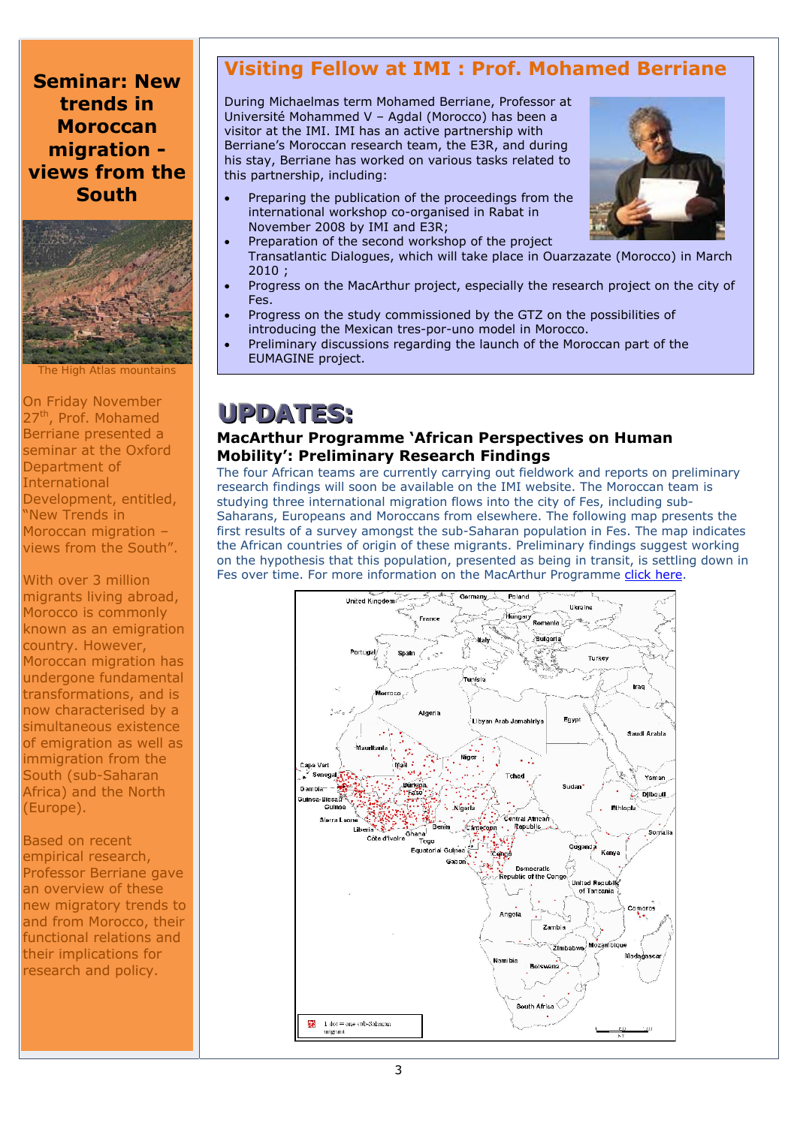**[Seminar: New](http://www.imi.ox.ac.uk/event-store/seminar-new-trends-in-moroccan-migration-views-from-the-south)  [trends in](http://www.imi.ox.ac.uk/event-store/seminar-new-trends-in-moroccan-migration-views-from-the-south)  [Moroccan](http://www.imi.ox.ac.uk/event-store/seminar-new-trends-in-moroccan-migration-views-from-the-south)  [migration](http://www.imi.ox.ac.uk/event-store/seminar-new-trends-in-moroccan-migration-views-from-the-south)  [views from the](http://www.imi.ox.ac.uk/event-store/seminar-new-trends-in-moroccan-migration-views-from-the-south)  [South](http://www.imi.ox.ac.uk/event-store/seminar-new-trends-in-moroccan-migration-views-from-the-south)** 



*The High Atlas mountains* 

On Friday November 27<sup>th</sup>, Prof. Mohamed Berriane presented a seminar at the Oxford Department of **International** Development, entitled, "New Trends in Moroccan migration – views from the South".

With over 3 million migrants living abroad, Morocco is commonly known as an emigration country. However, Moroccan migration has undergone fundamental transformations, and is now characterised by a simultaneous existence of emigration as well as immigration from the South (sub-Saharan Africa) and the North (Europe).

Based on recent empirical research, Professor Berriane gave an overview of these new migratory trends to and from Morocco, their functional relations and their implications for research and policy.

# **Visiting Fellow at IMI : Prof. Mohamed Berriane**

During Michaelmas term Mohamed Berriane, Professor at Université Mohammed V – Agdal (Morocco) has been a visitor at the IMI. IMI has an active partnership with Berriane's Moroccan research team, the E3R, and during his stay, Berriane has worked on various tasks related to this partnership, including:

- Preparing the publication of the proceedings from the international workshop co-organised in Rabat in November 2008 by IMI and E3R;
- Preparation of the second workshop of the project Transatlantic Dialogues, which will take place in Ouarzazate (Morocco) in March 2010 ;
- Progress on the MacArthur project, especially the research project on the city of Fes.
- Progress on the study commissioned by the GTZ on the possibilities of introducing the Mexican tres-por-uno model in Morocco.
- Preliminary discussions regarding the launch of the Moroccan part of the EUMAGINE project.

# **UPDATES:**

### **MacArthur Programme 'African Perspectives on Human Mobility': Preliminary Research Findings**

The four African teams are currently carrying out fieldwork and reports on preliminary research findings will soon be available on the IMI website. The Moroccan team is studying three international migration flows into the city of Fes, including sub-Saharans, Europeans and Moroccans from elsewhere. The following map presents the first results of a survey amongst the sub-Saharan population in Fes. The map indicates the African countries of origin of these migrants. Preliminary findings suggest working on the hypothesis that this population, presented as being in transit, is settling down in Fes over time. For more information on the MacArthur Programme [click here.](http://www.imi.ox.ac.uk/research/african-perspectives-on-human-mobility-1)